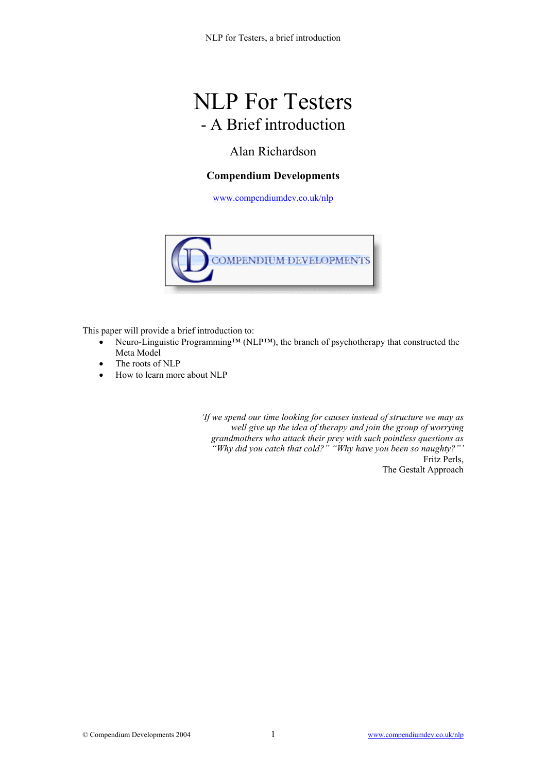# NLP For Testers - A Brief introduction

### Alan Richardson

#### **Compendium Developments**

[www.compendiumdev.co.uk/nlp](http://www.compendiumdev.co.uk/nlp)



This paper will provide a brief introduction to:

- Neuro-Linguistic Programming™ (NLP™), the branch of psychotherapy that constructed the Meta Model
- The roots of NLP
- How to learn more about NLP

*'If we spend our time looking for causes instead of structure we may as well give up the idea of therapy and join the group of worrying grandmothers who attack their prey with such pointless questions as "Why did you catch that cold?" "Why have you been so naughty?"'*  Fritz Perls, The Gestalt Approach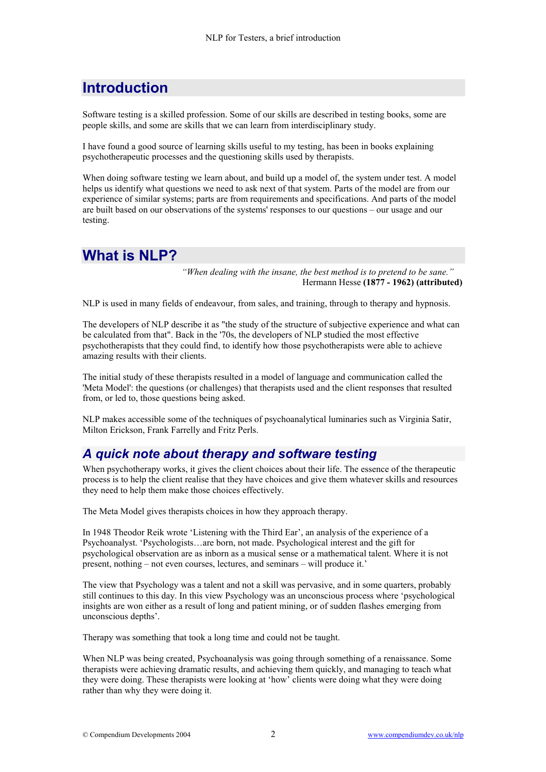# **Introduction**

Software testing is a skilled profession. Some of our skills are described in testing books, some are people skills, and some are skills that we can learn from interdisciplinary study.

I have found a good source of learning skills useful to my testing, has been in books explaining psychotherapeutic processes and the questioning skills used by therapists.

When doing software testing we learn about, and build up a model of, the system under test. A model helps us identify what questions we need to ask next of that system. Parts of the model are from our experience of similar systems; parts are from requirements and specifications. And parts of the model are built based on our observations of the systems' responses to our questions – our usage and our testing.

#### **What is NLP?**

*"When dealing with the insane, the best method is to pretend to be sane."*  Hermann Hesse **(1877 - 1962) (attributed)**

NLP is used in many fields of endeavour, from sales, and training, through to therapy and hypnosis.

The developers of NLP describe it as "the study of the structure of subjective experience and what can be calculated from that". Back in the '70s, the developers of NLP studied the most effective psychotherapists that they could find, to identify how those psychotherapists were able to achieve amazing results with their clients.

The initial study of these therapists resulted in a model of language and communication called the 'Meta Model': the questions (or challenges) that therapists used and the client responses that resulted from, or led to, those questions being asked.

NLP makes accessible some of the techniques of psychoanalytical luminaries such as Virginia Satir, Milton Erickson, Frank Farrelly and Fritz Perls.

#### *A quick note about therapy and software testing*

When psychotherapy works, it gives the client choices about their life. The essence of the therapeutic process is to help the client realise that they have choices and give them whatever skills and resources they need to help them make those choices effectively.

The Meta Model gives therapists choices in how they approach therapy.

In 1948 Theodor Reik wrote 'Listening with the Third Ear', an analysis of the experience of a Psychoanalyst. 'Psychologists…are born, not made. Psychological interest and the gift for psychological observation are as inborn as a musical sense or a mathematical talent. Where it is not present, nothing – not even courses, lectures, and seminars – will produce it.'

The view that Psychology was a talent and not a skill was pervasive, and in some quarters, probably still continues to this day. In this view Psychology was an unconscious process where 'psychological insights are won either as a result of long and patient mining, or of sudden flashes emerging from unconscious depths'.

Therapy was something that took a long time and could not be taught.

When NLP was being created, Psychoanalysis was going through something of a renaissance. Some therapists were achieving dramatic results, and achieving them quickly, and managing to teach what they were doing. These therapists were looking at 'how' clients were doing what they were doing rather than why they were doing it.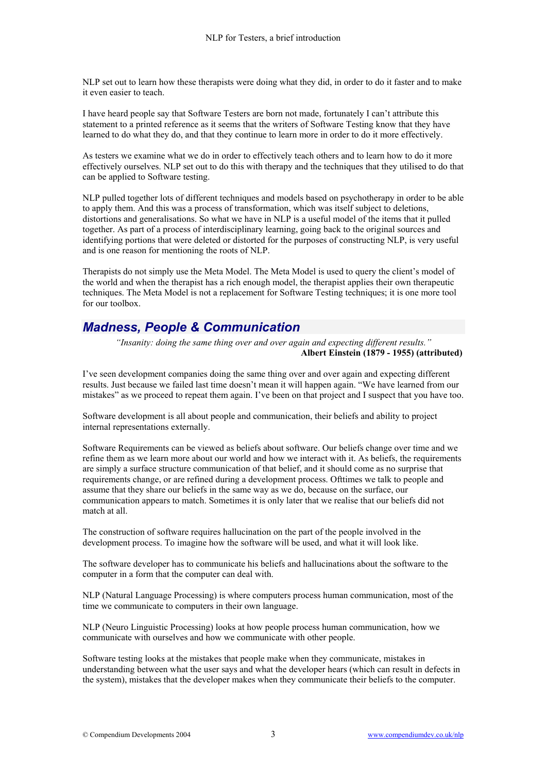NLP set out to learn how these therapists were doing what they did, in order to do it faster and to make it even easier to teach.

I have heard people say that Software Testers are born not made, fortunately I can't attribute this statement to a printed reference as it seems that the writers of Software Testing know that they have learned to do what they do, and that they continue to learn more in order to do it more effectively.

As testers we examine what we do in order to effectively teach others and to learn how to do it more effectively ourselves. NLP set out to do this with therapy and the techniques that they utilised to do that can be applied to Software testing.

NLP pulled together lots of different techniques and models based on psychotherapy in order to be able to apply them. And this was a process of transformation, which was itself subject to deletions, distortions and generalisations. So what we have in NLP is a useful model of the items that it pulled together. As part of a process of interdisciplinary learning, going back to the original sources and identifying portions that were deleted or distorted for the purposes of constructing NLP, is very useful and is one reason for mentioning the roots of NLP.

Therapists do not simply use the Meta Model. The Meta Model is used to query the client's model of the world and when the therapist has a rich enough model, the therapist applies their own therapeutic techniques. The Meta Model is not a replacement for Software Testing techniques; it is one more tool for our toolbox.

### *Madness, People & Communication*

*"Insanity: doing the same thing over and over again and expecting different results."*  **Albert Einstein (1879 - 1955) (attributed)** 

I've seen development companies doing the same thing over and over again and expecting different results. Just because we failed last time doesn't mean it will happen again. "We have learned from our mistakes" as we proceed to repeat them again. I've been on that project and I suspect that you have too.

Software development is all about people and communication, their beliefs and ability to project internal representations externally.

Software Requirements can be viewed as beliefs about software. Our beliefs change over time and we refine them as we learn more about our world and how we interact with it. As beliefs, the requirements are simply a surface structure communication of that belief, and it should come as no surprise that requirements change, or are refined during a development process. Ofttimes we talk to people and assume that they share our beliefs in the same way as we do, because on the surface, our communication appears to match. Sometimes it is only later that we realise that our beliefs did not match at all.

The construction of software requires hallucination on the part of the people involved in the development process. To imagine how the software will be used, and what it will look like.

The software developer has to communicate his beliefs and hallucinations about the software to the computer in a form that the computer can deal with.

NLP (Natural Language Processing) is where computers process human communication, most of the time we communicate to computers in their own language.

NLP (Neuro Linguistic Processing) looks at how people process human communication, how we communicate with ourselves and how we communicate with other people.

Software testing looks at the mistakes that people make when they communicate, mistakes in understanding between what the user says and what the developer hears (which can result in defects in the system), mistakes that the developer makes when they communicate their beliefs to the computer.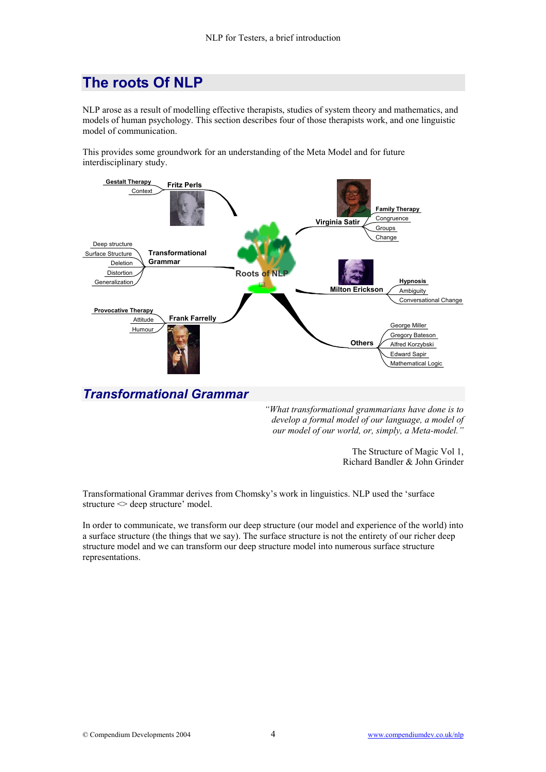# **The roots Of NLP**

NLP arose as a result of modelling effective therapists, studies of system theory and mathematics, and models of human psychology. This section describes four of those therapists work, and one linguistic model of communication.

This provides some groundwork for an understanding of the Meta Model and for future interdisciplinary study.



#### *Transformational Grammar*

*"What transformational grammarians have done is to develop a formal model of our language, a model of our model of our world, or, simply, a Meta-model."* 

> The Structure of Magic Vol 1, Richard Bandler & John Grinder

Transformational Grammar derives from Chomsky's work in linguistics. NLP used the 'surface structure  $\leq$  deep structure' model.

In order to communicate, we transform our deep structure (our model and experience of the world) into a surface structure (the things that we say). The surface structure is not the entirety of our richer deep structure model and we can transform our deep structure model into numerous surface structure representations.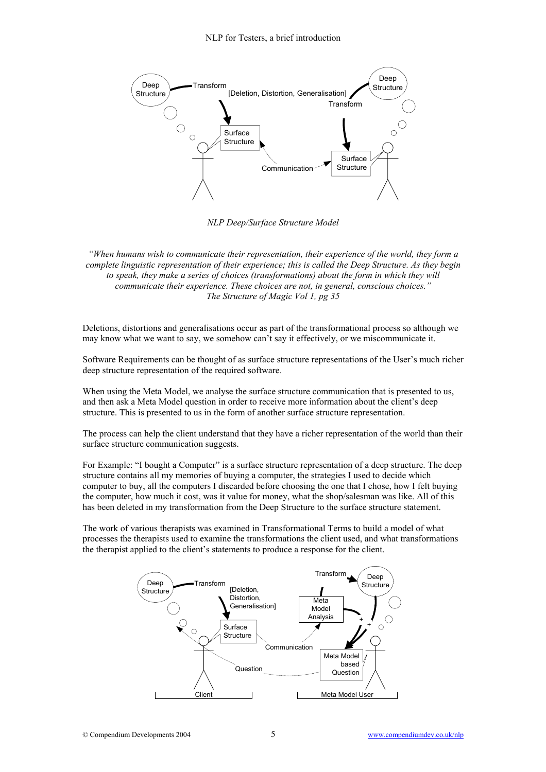

*NLP Deep/Surface Structure Model* 

*"When humans wish to communicate their representation, their experience of the world, they form a complete linguistic representation of their experience; this is called the Deep Structure. As they begin to speak, they make a series of choices (transformations) about the form in which they will communicate their experience. These choices are not, in general, conscious choices." The Structure of Magic Vol 1, pg 35* 

Deletions, distortions and generalisations occur as part of the transformational process so although we may know what we want to say, we somehow can't say it effectively, or we miscommunicate it.

Software Requirements can be thought of as surface structure representations of the User's much richer deep structure representation of the required software.

When using the Meta Model, we analyse the surface structure communication that is presented to us, and then ask a Meta Model question in order to receive more information about the client's deep structure. This is presented to us in the form of another surface structure representation.

The process can help the client understand that they have a richer representation of the world than their surface structure communication suggests.

For Example: "I bought a Computer" is a surface structure representation of a deep structure. The deep structure contains all my memories of buying a computer, the strategies I used to decide which computer to buy, all the computers I discarded before choosing the one that I chose, how I felt buying the computer, how much it cost, was it value for money, what the shop/salesman was like. All of this has been deleted in my transformation from the Deep Structure to the surface structure statement.

The work of various therapists was examined in Transformational Terms to build a model of what processes the therapists used to examine the transformations the client used, and what transformations the therapist applied to the client's statements to produce a response for the client.

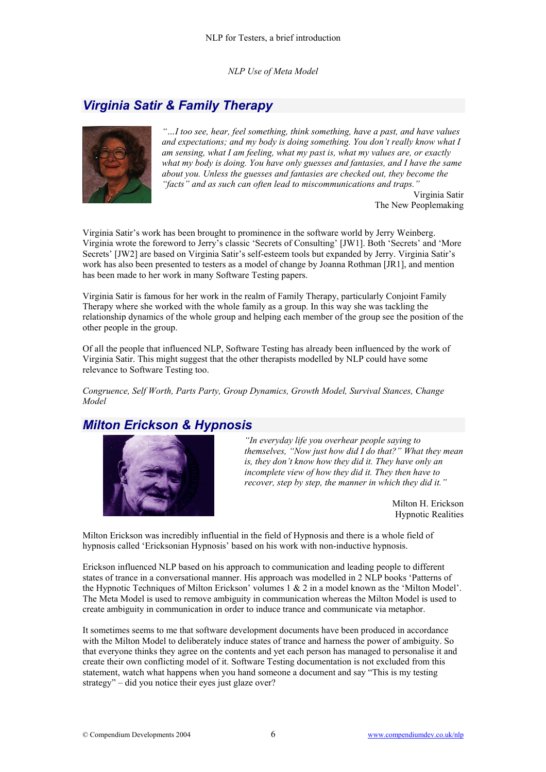*NLP Use of Meta Model*

## *Virginia Satir & Family Therapy*



*"…I too see, hear, feel something, think something, have a past, and have values and expectations; and my body is doing something. You don't really know what I am sensing, what I am feeling, what my past is, what my values are, or exactly what my body is doing. You have only guesses and fantasies, and I have the same about you. Unless the guesses and fantasies are checked out, they become the "facts" and as such can often lead to miscommunications and traps."* 

Virginia Satir The New Peoplemaking

Virginia Satir's work has been brought to prominence in the software world by Jerry Weinberg. Virginia wrote the foreword to Jerry's classic 'Secrets of Consulting' [JW1]. Both 'Secrets' and 'More Secrets' [JW2] are based on Virginia Satir's self-esteem tools but expanded by Jerry. Virginia Satir's work has also been presented to testers as a model of change by Joanna Rothman [JR1], and mention has been made to her work in many Software Testing papers.

Virginia Satir is famous for her work in the realm of Family Therapy, particularly Conjoint Family Therapy where she worked with the whole family as a group. In this way she was tackling the relationship dynamics of the whole group and helping each member of the group see the position of the other people in the group.

Of all the people that influenced NLP, Software Testing has already been influenced by the work of Virginia Satir. This might suggest that the other therapists modelled by NLP could have some relevance to Software Testing too.

*Congruence, Self Worth, Parts Party, Group Dynamics, Growth Model, Survival Stances, Change Model*

#### *Milton Erickson & Hypnosis*



*"In everyday life you overhear people saying to themselves, "Now just how did I do that?" What they mean is, they don't know how they did it. They have only an incomplete view of how they did it. They then have to recover, step by step, the manner in which they did it."* 

> Milton H. Erickson Hypnotic Realities

Milton Erickson was incredibly influential in the field of Hypnosis and there is a whole field of hypnosis called 'Ericksonian Hypnosis' based on his work with non-inductive hypnosis.

Erickson influenced NLP based on his approach to communication and leading people to different states of trance in a conversational manner. His approach was modelled in 2 NLP books 'Patterns of the Hypnotic Techniques of Milton Erickson' volumes 1 & 2 in a model known as the 'Milton Model'. The Meta Model is used to remove ambiguity in communication whereas the Milton Model is used to create ambiguity in communication in order to induce trance and communicate via metaphor.

It sometimes seems to me that software development documents have been produced in accordance with the Milton Model to deliberately induce states of trance and harness the power of ambiguity. So that everyone thinks they agree on the contents and yet each person has managed to personalise it and create their own conflicting model of it. Software Testing documentation is not excluded from this statement, watch what happens when you hand someone a document and say "This is my testing strategy" – did you notice their eyes just glaze over?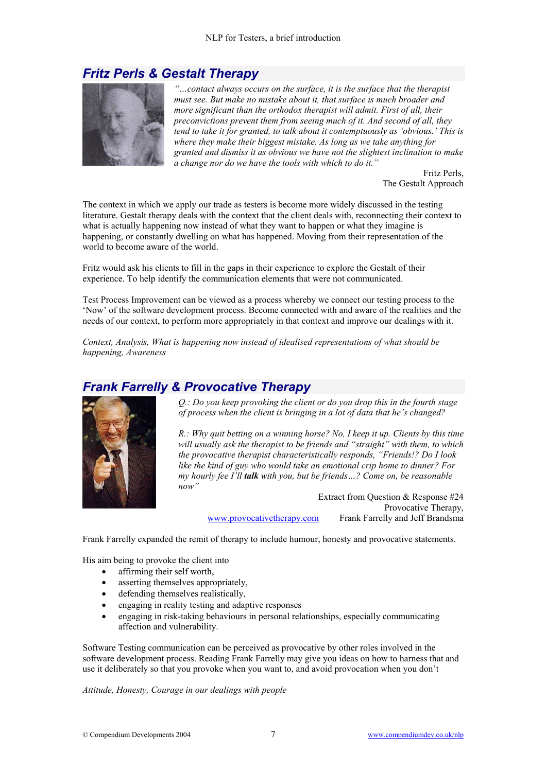#### *Fritz Perls & Gestalt Therapy*



*"…contact always occurs on the surface, it is the surface that the therapist must see. But make no mistake about it, that surface is much broader and more significant than the orthodox therapist will admit. First of all, their preconvictions prevent them from seeing much of it. And second of all, they tend to take it for granted, to talk about it contemptuously as 'obvious.' This is where they make their biggest mistake. As long as we take anything for granted and dismiss it as obvious we have not the slightest inclination to make a change nor do we have the tools with which to do it."* 

Fritz Perls, The Gestalt Approach

The context in which we apply our trade as testers is become more widely discussed in the testing literature. Gestalt therapy deals with the context that the client deals with, reconnecting their context to what is actually happening now instead of what they want to happen or what they imagine is happening, or constantly dwelling on what has happened. Moving from their representation of the world to become aware of the world.

Fritz would ask his clients to fill in the gaps in their experience to explore the Gestalt of their experience. To help identify the communication elements that were not communicated.

Test Process Improvement can be viewed as a process whereby we connect our testing process to the 'Now' of the software development process. Become connected with and aware of the realities and the needs of our context, to perform more appropriately in that context and improve our dealings with it.

*Context, Analysis, What is happening now instead of idealised representations of what should be happening, Awareness* 

#### *Frank Farrelly & Provocative Therapy*



*Q.: Do you keep provoking the client or do you drop this in the fourth stage of process when the client is bringing in a lot of data that he's changed?* 

*R.: Why quit betting on a winning horse? No, I keep it up. Clients by this time will usually ask the therapist to be friends and "straight" with them, to which the provocative therapist characteristically responds, "Friends!? Do I look like the kind of guy who would take an emotional crip home to dinner? For my hourly fee I'll talk with you, but be friends…? Come on, be reasonable now"*

Extract from Question & Response #24 Provocative Therapy, [www.provocativetherapy.com](http://www.provocativetherapy.com/) Frank Farrelly and Jeff Brandsma

Frank Farrelly expanded the remit of therapy to include humour, honesty and provocative statements.

His aim being to provoke the client into

- affirming their self worth,
- asserting themselves appropriately,
- defending themselves realistically,
- engaging in reality testing and adaptive responses
- engaging in risk-taking behaviours in personal relationships, especially communicating affection and vulnerability.

Software Testing communication can be perceived as provocative by other roles involved in the software development process. Reading Frank Farrelly may give you ideas on how to harness that and use it deliberately so that you provoke when you want to, and avoid provocation when you don't

*Attitude, Honesty, Courage in our dealings with people*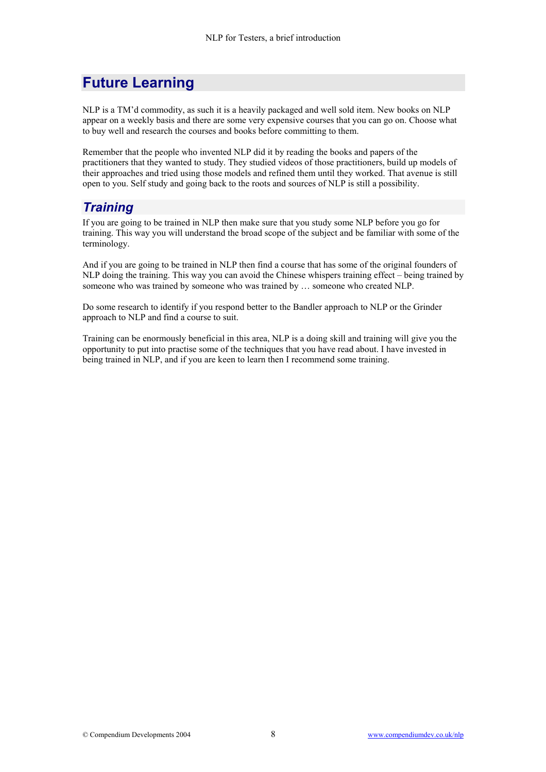# **Future Learning**

NLP is a TM'd commodity, as such it is a heavily packaged and well sold item. New books on NLP appear on a weekly basis and there are some very expensive courses that you can go on. Choose what to buy well and research the courses and books before committing to them.

Remember that the people who invented NLP did it by reading the books and papers of the practitioners that they wanted to study. They studied videos of those practitioners, build up models of their approaches and tried using those models and refined them until they worked. That avenue is still open to you. Self study and going back to the roots and sources of NLP is still a possibility.

### *Training*

If you are going to be trained in NLP then make sure that you study some NLP before you go for training. This way you will understand the broad scope of the subject and be familiar with some of the terminology.

And if you are going to be trained in NLP then find a course that has some of the original founders of NLP doing the training. This way you can avoid the Chinese whispers training effect – being trained by someone who was trained by someone who was trained by … someone who created NLP.

Do some research to identify if you respond better to the Bandler approach to NLP or the Grinder approach to NLP and find a course to suit.

Training can be enormously beneficial in this area, NLP is a doing skill and training will give you the opportunity to put into practise some of the techniques that you have read about. I have invested in being trained in NLP, and if you are keen to learn then I recommend some training.